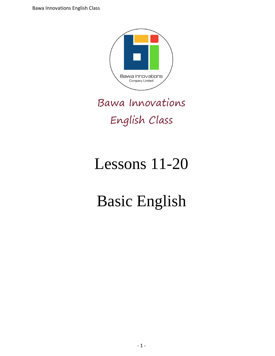

## Lessons 11-20

# Basic English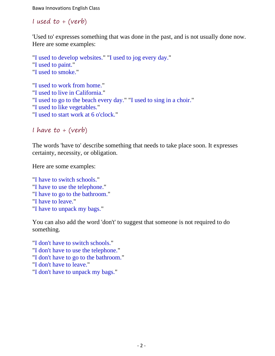#### I used to  $+(verb)$

'Used to' expresses something that was done in the past, and is not usually done now. Here are some examples:

"I used to develop websites." "I used to jog every day." "I used to paint." "I used to smoke."

"I used to work from home." "I used to live in California." "I used to go to the beach every day." "I used to sing in a choir." "I used to like vegetables." "I used to start work at 6 o'clock."

```
I have to + (verb)
```
The words 'have to' describe something that needs to take place soon. It expresses certainty, necessity, or obligation.

Here are some examples:

"I have to switch schools." "I have to use the telephone." "I have to go to the bathroom." "I have to leave." "I have to unpack my bags."

You can also add the word 'don't' to suggest that someone is not required to do something.

"I don't have to switch schools."

"I don't have to use the telephone."

"I don't have to go to the bathroom."

"I don't have to leave."

"I don't have to unpack my bags."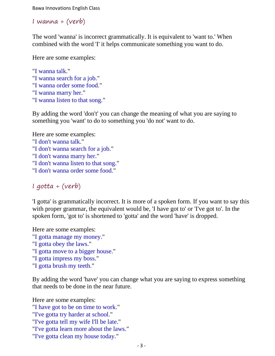I wanna + (verb)

The word 'wanna' is incorrect grammatically. It is equivalent to 'want to.' When combined with the word 'I' it helps communicate something you want to do.

Here are some examples:

```
"I wanna talk."
"I wanna search for a job." 
"I wanna order some food." 
"I wanna marry her."
"I wanna listen to that song."
```
By adding the word 'don't' you can change the meaning of what you are saying to something you 'want' to do to something you 'do not' want to do.

```
Here are some examples: 
"I don't wanna talk."
"I don't wanna search for a job." 
"I don't wanna marry her."
"I don't wanna listen to that song." 
"I don't wanna order some food."
```
#### I gotta + (verb)

'I gotta' is grammatically incorrect. It is more of a spoken form. If you want to say this with proper grammar, the equivalent would be, 'I have got to' or 'I've got to'. In the spoken form, 'got to' is shortened to 'gotta' and the word 'have' is dropped.

Here are some examples:

- "I gotta manage my money."
- "I gotta obey the laws."
- "I gotta move to a bigger house."
- "I gotta impress my boss."
- "I gotta brush my teeth."

By adding the word 'have' you can change what you are saying to express something that needs to be done in the near future.

Here are some examples:

"I have got to be on time to work."

```
"I've gotta try harder at school."
```
"I've gotta tell my wife I'll be late."

"I've gotta learn more about the laws."

"I've gotta clean my house today."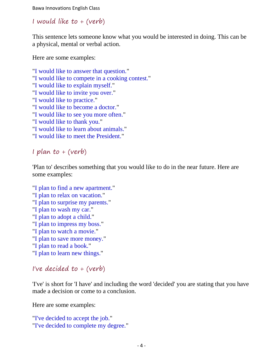#### I would like to + (verb)

This sentence lets someone know what you would be interested in doing. This can be a physical, mental or verbal action.

Here are some examples:

- "I would like to answer that question."
- "I would like to compete in a cooking contest."
- "I would like to explain myself."
- "I would like to invite you over."
- "I would like to practice."
- "I would like to become a doctor."
- "I would like to see you more often."
- "I would like to thank you."
- "I would like to learn about animals."
- "I would like to meet the President."

#### I plan to  $+(verb)$

'Plan to' describes something that you would like to do in the near future. Here are some examples:

- "I plan to find a new apartment."
- "I plan to relax on vacation."
- "I plan to surprise my parents."
- "I plan to wash my car."
- "I plan to adopt a child."
- "I plan to impress my boss."
- "I plan to watch a movie."
- "I plan to save more money."
- "I plan to read a book."
- "I plan to learn new things."

#### I've decided to + (verb)

'I've' is short for 'I have' and including the word 'decided' you are stating that you have made a decision or come to a conclusion.

Here are some examples:

```
"I've decided to accept the job."
"I've decided to complete my degree."
```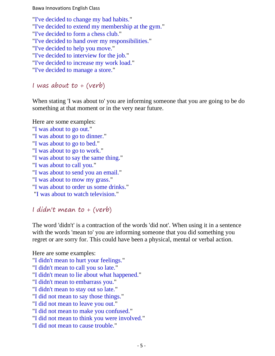"I've decided to change my bad habits." "I've decided to extend my membership at the gym." "I've decided to form a chess club." "I've decided to hand over my responsibilities." "I've decided to help you move." "I've decided to interview for the job." "I've decided to increase my work load." "I've decided to manage a store."

I was about to  $+(verb)$ 

When stating 'I was about to' you are informing someone that you are going to be do something at that moment or in the very near future.

Here are some examples:

- "I was about to go out."
- "I was about to go to dinner."
- "I was about to go to bed."
- "I was about to go to work."
- "I was about to say the same thing."
- "I was about to call you."
- "I was about to send you an email."
- "I was about to mow my grass."
- "I was about to order us some drinks."
- "I was about to watch television."

#### I didn't mean to + (verb)

The word 'didn't' is a contraction of the words 'did not'. When using it in a sentence with the words 'mean to' you are informing someone that you did something you regret or are sorry for. This could have been a physical, mental or verbal action.

Here are some examples:

- "I didn't mean to hurt your feelings."
- "I didn't mean to call you so late."
- "I didn't mean to lie about what happened."
- "I didn't mean to embarrass you."
- "I didn't mean to stay out so late."
- "I did not mean to say those things."
- "I did not mean to leave you out."
- "I did not mean to make you confused."
- "I did not mean to think you were involved."
- "I did not mean to cause trouble."